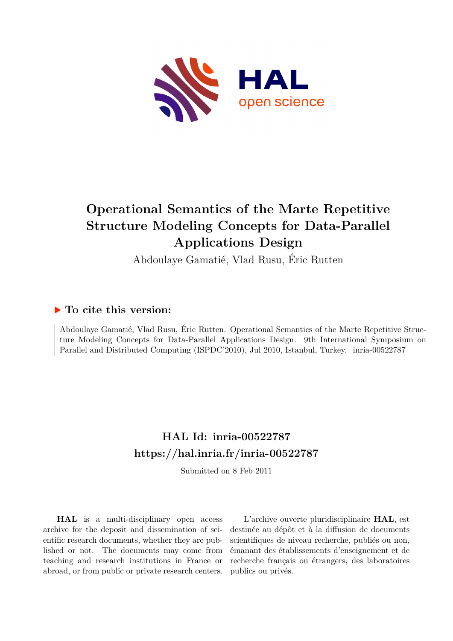

# **Operational Semantics of the Marte Repetitive Structure Modeling Concepts for Data-Parallel Applications Design**

Abdoulaye Gamatié, Vlad Rusu, Éric Rutten

## **To cite this version:**

Abdoulaye Gamatié, Vlad Rusu, Éric Rutten. Operational Semantics of the Marte Repetitive Structure Modeling Concepts for Data-Parallel Applications Design. 9th International Symposium on Parallel and Distributed Computing (ISPDC'2010), Jul 2010, Istanbul, Turkey. inria-00522787

## **HAL Id: inria-00522787 <https://hal.inria.fr/inria-00522787>**

Submitted on 8 Feb 2011

**HAL** is a multi-disciplinary open access archive for the deposit and dissemination of scientific research documents, whether they are published or not. The documents may come from teaching and research institutions in France or abroad, or from public or private research centers.

L'archive ouverte pluridisciplinaire **HAL**, est destinée au dépôt et à la diffusion de documents scientifiques de niveau recherche, publiés ou non, émanant des établissements d'enseignement et de recherche français ou étrangers, des laboratoires publics ou privés.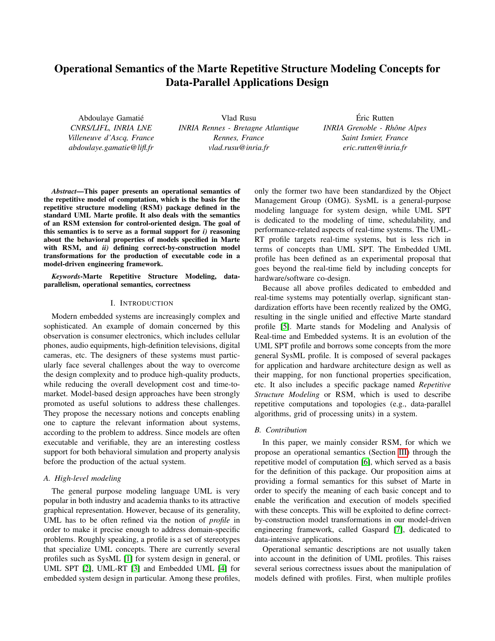### Operational Semantics of the Marte Repetitive Structure Modeling Concepts for Data-Parallel Applications Design

Abdoulaye Gamatié *CNRS/LIFL, INRIA LNE Villeneuve d'Ascq, France abdoulaye.gamatie@lifl.fr*

Vlad Rusu *INRIA Rennes - Bretagne Atlantique Rennes, France vlad.rusu@inria.fr*

Éric Rutten *INRIA Grenoble - Rhône Alpes Saint Ismier, France eric.rutten@inria.fr*

*Abstract*—This paper presents an operational semantics of the repetitive model of computation, which is the basis for the repetitive structure modeling (RSM) package defined in the standard UML Marte profile. It also deals with the semantics of an RSM extension for control-oriented design. The goal of this semantics is to serve as a formal support for *i)* reasoning about the behavioral properties of models specified in Marte with RSM, and *ii)* defining correct-by-construction model transformations for the production of executable code in a model-driven engineering framework.

*Keywords*-Marte Repetitive Structure Modeling, dataparallelism, operational semantics, correctness

#### I. INTRODUCTION

Modern embedded systems are increasingly complex and sophisticated. An example of domain concerned by this observation is consumer electronics, which includes cellular phones, audio equipments, high-definition televisions, digital cameras, etc. The designers of these systems must particularly face several challenges about the way to overcome the design complexity and to produce high-quality products, while reducing the overall development cost and time-tomarket. Model-based design approaches have been strongly promoted as useful solutions to address these challenges. They propose the necessary notions and concepts enabling one to capture the relevant information about systems, according to the problem to address. Since models are often executable and verifiable, they are an interesting costless support for both behavioral simulation and property analysis before the production of the actual system.

#### *A. High-level modeling*

The general purpose modeling language UML is very popular in both industry and academia thanks to its attractive graphical representation. However, because of its generality, UML has to be often refined via the notion of *profile* in order to make it precise enough to address domain-specific problems. Roughly speaking, a profile is a set of stereotypes that specialize UML concepts. There are currently several profiles such as SysML [1] for system design in general, or UML SPT [2], UML-RT [3] and Embedded UML [4] for embedded system design in particular. Among these profiles, only the former two have been standardized by the Object Management Group (OMG). SysML is a general-purpose modeling language for system design, while UML SPT is dedicated to the modeling of time, schedulability, and performance-related aspects of real-time systems. The UML-RT profile targets real-time systems, but is less rich in terms of concepts than UML SPT. The Embedded UML profile has been defined as an experimental proposal that goes beyond the real-time field by including concepts for hardware/software co-design.

Because all above profiles dedicated to embedded and real-time systems may potentially overlap, significant standardization efforts have been recently realized by the OMG, resulting in the single unified and effective Marte standard profile [5]. Marte stands for Modeling and Analysis of Real-time and Embedded systems. It is an evolution of the UML SPT profile and borrows some concepts from the more general SysML profile. It is composed of several packages for application and hardware architecture design as well as their mapping, for non functional properties specification, etc. It also includes a specific package named *Repetitive Structure Modeling* or RSM, which is used to describe repetitive computations and topologies (e.g., data-parallel algorithms, grid of processing units) in a system.

#### *B. Contribution*

In this paper, we mainly consider RSM, for which we propose an operational semantics (Section III) through the repetitive model of computation [6], which served as a basis for the definition of this package. Our proposition aims at providing a formal semantics for this subset of Marte in order to specify the meaning of each basic concept and to enable the verification and execution of models specified with these concepts. This will be exploited to define correctby-construction model transformations in our model-driven engineering framework, called Gaspard [7], dedicated to data-intensive applications.

Operational semantic descriptions are not usually taken into account in the definition of UML profiles. This raises several serious correctness issues about the manipulation of models defined with profiles. First, when multiple profiles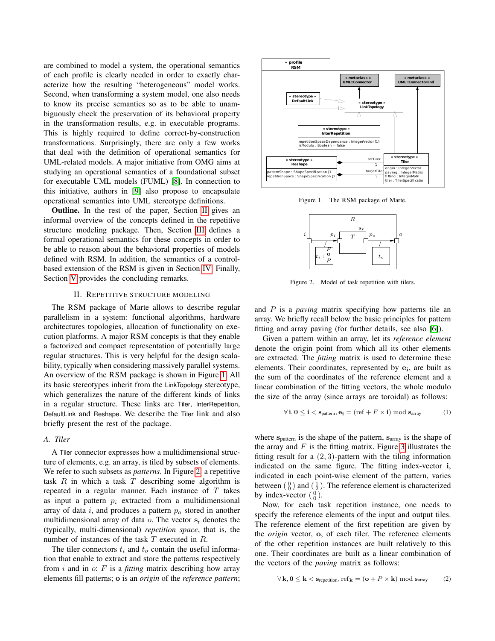are combined to model a system, the operational semantics of each profile is clearly needed in order to exactly characterize how the resulting "heterogeneous" model works. Second, when transforming a system model, one also needs to know its precise semantics so as to be able to unambiguously check the preservation of its behavioral property in the transformation results, e.g. in executable programs. This is highly required to define correct-by-construction transformations. Surprisingly, there are only a few works that deal with the definition of operational semantics for UML-related models. A major initiative from OMG aims at studying an operational semantics of a foundational subset for executable UML models (FUML) [8]. In connection to this initiative, authors in [9] also propose to encapsulate operational semantics into UML stereotype definitions.

Outline. In the rest of the paper, Section II gives an informal overview of the concepts defined in the repetitive structure modeling package. Then, Section III defines a formal operational semantics for these concepts in order to be able to reason about the behavioral properties of models defined with RSM. In addition, the semantics of a controlbased extension of the RSM is given in Section IV. Finally, Section V provides the concluding remarks.

#### II. REPETITIVE STRUCTURE MODELING

The RSM package of Marte allows to describe regular parallelism in a system: functional algorithms, hardware architectures topologies, allocation of functionality on execution platforms. A major RSM concepts is that they enable a factorized and compact representation of potentially large regular structures. This is very helpful for the design scalability, typically when considering massively parallel systems. An overview of the RSM package is shown in Figure 1. All its basic stereotypes inherit from the LinkTopology stereotype, which generalizes the nature of the different kinds of links in a regular structure. These links are Tiler, InterRepetition, DefaultLink and Reshape. We describe the Tiler link and also briefly present the rest of the package.

#### *A. Tiler*

A Tiler connector expresses how a multidimensional structure of elements, e.g. an array, is tiled by subsets of elements. We refer to such subsets as *patterns*. In Figure 2, a repetitive task  $R$  in which a task  $T$  describing some algorithm is repeated in a regular manner. Each instance of T takes as input a pattern  $p_i$  extracted from a multidimensional array of data i, and produces a pattern  $p<sub>o</sub>$  stored in another multidimensional array of data  $o$ . The vector  $s_r$  denotes the (typically, multi-dimensional) *repetition space*, that is, the number of instances of the task T executed in R.

The tiler connectors  $t_i$  and  $t_o$  contain the useful information that enable to extract and store the patterns respectively from i and in o: F is a *fitting* matrix describing how array elements fill patterns; o is an *origin* of the *reference pattern*;



Figure 1. The RSM package of Marte.



Figure 2. Model of task repetition with tilers.

and P is a *paving* matrix specifying how patterns tile an array. We briefly recall below the basic principles for pattern fitting and array paving (for further details, see also [6]).

Given a pattern within an array, let its *reference element* denote the origin point from which all its other elements are extracted. The *fitting* matrix is used to determine these elements. Their coordinates, represented by  $e_i$ , are built as the sum of the coordinates of the reference element and a linear combination of the fitting vectors, the whole modulo the size of the array (since arrays are toroidal) as follows:

$$
\forall \mathbf{i}, \mathbf{0} \le \mathbf{i} < \mathbf{s}_{\text{pattern}}, \mathbf{e}_{\mathbf{i}} = (\text{ref} + F \times \mathbf{i}) \text{ mod } \mathbf{s}_{\text{array}} \tag{1}
$$

where  $s_{\text{pattern}}$  is the shape of the pattern,  $s_{\text{array}}$  is the shape of the array and  $F$  is the fitting matrix. Figure 3 illustrates the fitting result for a  $(2, 3)$ -pattern with the tiling information indicated on the same figure. The fitting index-vector i, indicated in each point-wise element of the pattern, varies between  $\binom{0}{0}$  and  $\binom{1}{2}$ . The reference element is characterized by index-vector  $\begin{pmatrix} 0 \\ 0 \end{pmatrix}$ .

Now, for each task repetition instance, one needs to specify the reference elements of the input and output tiles. The reference element of the first repetition are given by the *origin* vector, o, of each tiler. The reference elements of the other repetition instances are built relatively to this one. Their coordinates are built as a linear combination of the vectors of the *paving* matrix as follows:

$$
\forall \mathbf{k}, \mathbf{0} \le \mathbf{k} < \mathbf{s}_{\text{repetition}}, \text{ref}_{\mathbf{k}} = (\mathbf{o} + P \times \mathbf{k}) \bmod \mathbf{s}_{\text{array}} \tag{2}
$$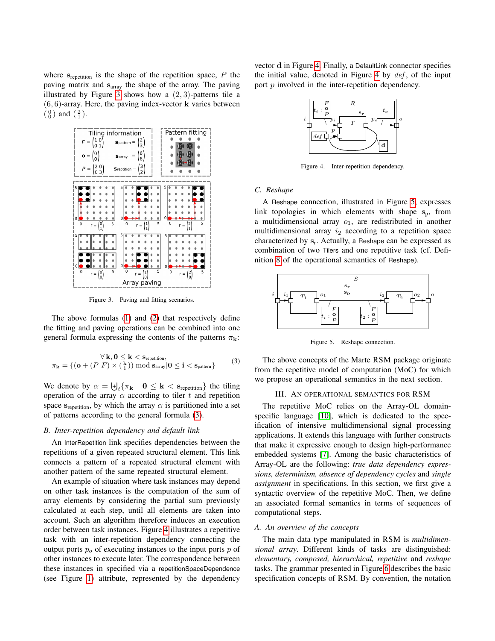where  $s_{\text{repetition}}$  is the shape of the repetition space,  $P$  the paving matrix and sarray the shape of the array. The paving illustrated by Figure 3 shows how a  $(2, 3)$ -patterns tile a  $(6, 6)$ -array. Here, the paving index-vector **k** varies between  $\binom{0}{0}$  and  $\binom{2}{1}$ .



Figure 3. Paving and fitting scenarios.

The above formulas (1) and (2) that respectively define the fitting and paving operations can be combined into one general formula expressing the contents of the patterns  $\pi_{\mathbf{k}}$ :

$$
\forall \mathbf{k}, \mathbf{0} \le \mathbf{k} < \mathbf{s}_{\text{repetition}},
$$
\n
$$
\pi_{\mathbf{k}} = \{ (\mathbf{o} + (P \ F) \times (\begin{array}{c} \mathbf{k} \\ \mathbf{i} \end{array})) \bmod \mathbf{s}_{\text{array}} | \mathbf{0} \le \mathbf{i} < \mathbf{s}_{\text{pattern}} \}
$$
\n(3)

We denote by  $\alpha = \biguplus_t {\{\pi_{\mathbf{k}} \mid \mathbf{0} \leq \mathbf{k} < \mathbf{s}_{\text{repetition}}\}}$  the tiling operation of the array  $\alpha$  according to tiler t and repetition space s<sub>repetition</sub>, by which the array  $\alpha$  is partitioned into a set of patterns according to the general formula (3).

#### *B. Inter-repetition dependency and default link*

An InterRepetition link specifies dependencies between the repetitions of a given repeated structural element. This link connects a pattern of a repeated structural element with another pattern of the same repeated structural element.

An example of situation where task instances may depend on other task instances is the computation of the sum of array elements by considering the partial sum previously calculated at each step, until all elements are taken into account. Such an algorithm therefore induces an execution order between task instances. Figure 4 illustrates a repetitive task with an inter-repetition dependency connecting the output ports  $p<sub>o</sub>$  of executing instances to the input ports p of other instances to execute later. The correspondence between these instances in specified via a repetitionSpaceDependence (see Figure 1) attribute, represented by the dependency vector d in Figure 4. Finally, a DefaultLink connector specifies the initial value, denoted in Figure 4 by  $def$ , of the input port  $p$  involved in the inter-repetition dependency.



Figure 4. Inter-repetition dependency.

#### *C. Reshape*

A Reshape connection, illustrated in Figure 5, expresses link topologies in which elements with shape  $s_p$ , from a multidimensional array  $o_1$ , are redistributed in another multidimensional array  $i_2$  according to a repetition space characterized by  $s_r$ . Actually, a Reshape can be expressed as combination of two Tilers and one repetitive task (cf. Definition 8 of the operational semantics of Reshape).



Figure 5. Reshape connection.

The above concepts of the Marte RSM package originate from the repetitive model of computation (MoC) for which we propose an operational semantics in the next section.

#### III. AN OPERATIONAL SEMANTICS FOR RSM

The repetitive MoC relies on the Array-OL domainspecific language [10], which is dedicated to the specification of intensive multidimensional signal processing applications. It extends this language with further constructs that make it expressive enough to design high-performance embedded systems [7]. Among the basic characteristics of Array-OL are the following: *true data dependency expressions, determinism, absence of dependency cycles* and *single assignment* in specifications. In this section, we first give a syntactic overview of the repetitive MoC. Then, we define an associated formal semantics in terms of sequences of computational steps.

#### *A. An overview of the concepts*

The main data type manipulated in RSM is *multidimensional array*. Different kinds of tasks are distinguished: *elementary, composed, hierarchical, repetitive* and *reshape* tasks. The grammar presented in Figure 6 describes the basic specification concepts of RSM. By convention, the notation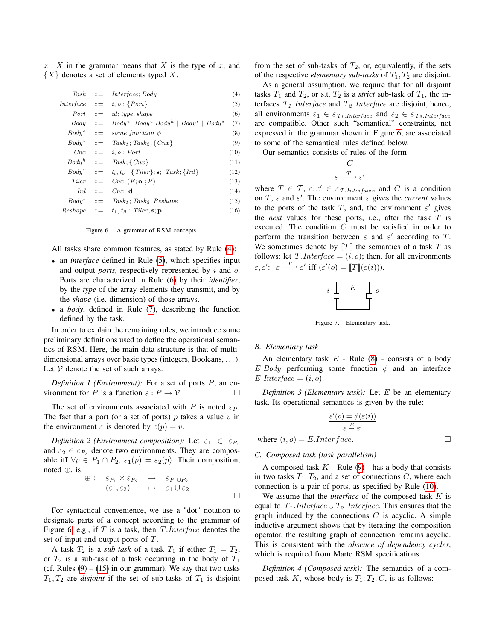$x: X$  in the grammar means that X is the type of x, and  ${X}$  denotes a set of elements typed X.

|              | $Task ::=$ Interface; Body                                         | (4)  |
|--------------|--------------------------------------------------------------------|------|
|              | $Interface ::= i, o: {Port}$                                       | (5)  |
|              | $Port ::= id; type; shape$                                         | (6)  |
|              | $Body \ ::= \ Body^e   Body^c   Body^c   Body^h   Body^r   Body^s$ | (7)  |
|              | $Body^e$ ::= some function $\phi$                                  | (8)  |
|              | $Body^c$ ::= $Task_1; Task_2; \{Cnx\}$                             | (9)  |
|              | $\mathit{Cnx} \quad ::= \quad i, o : \mathit{Port}$                | (10) |
|              | $Body^h$ ::= $Task; \{Cnx\}$                                       | (11) |
|              | $Body^r$ ::= $t_i, t_o: \{Tiler\}; s; \; Task; \{Ird\}$            | (12) |
| $Tiler \t:=$ | $Cnx$ ; $(F; \mathbf{o}; P)$                                       | (13) |
|              | $Ird \t ::= Cnx; d$                                                | (14) |
| $Body^s$ ::= | $Task_1$ ; $Task_2$ ; $Reshape$                                    | (15) |
|              | $Reshape$ ::= $t_1, t_2 : Tiler; \mathbf{s}; \mathbf{p}$           | (16) |
|              |                                                                    |      |
|              |                                                                    |      |

Figure 6. A grammar of RSM concepts.

All tasks share common features, as stated by Rule (4):

- an *interface* defined in Rule (5), which specifies input and output *ports*, respectively represented by i and o. Ports are characterized in Rule (6) by their *identifier*, by the *type* of the array elements they transmit, and by the *shape* (i.e. dimension) of those arrays.
- a *body*, defined in Rule (7), describing the function defined by the task.

In order to explain the remaining rules, we introduce some preliminary definitions used to define the operational semantics of RSM. Here, the main data structure is that of multidimensional arrays over basic types (integers, Booleans, . . . ). Let  $V$  denote the set of such arrays.

*Definition 1 (Environment):* For a set of ports P, an environment for P is a function  $\varepsilon$  :  $P \to V$ .

The set of environments associated with P is noted  $\varepsilon_P$ . The fact that a port (or a set of ports)  $p$  takes a value  $v$  in the environment  $\varepsilon$  is denoted by  $\varepsilon(p) = v$ .

*Definition 2 (Environment composition):* Let  $\varepsilon_1 \in \varepsilon_{P_1}$ and  $\varepsilon_2 \in \varepsilon_{P_2}$  denote two environments. They are composable iff  $\forall p \in P_1 \cap P_2$ ,  $\varepsilon_1(p) = \varepsilon_2(p)$ . Their composition, noted ⊕, is:

$$
\oplus: \varepsilon_{P_1} \times \varepsilon_{P_2} \rightarrow \varepsilon_{P_1 \cup P_2} \n(\varepsilon_1, \varepsilon_2) \rightarrow \varepsilon_1 \cup \varepsilon_2
$$

For syntactical convenience, we use a "dot" notation to designate parts of a concept according to the grammar of Figure 6, e.g., if  $T$  is a task, then  $T.$  Interface denotes the set of input and output ports of T.

A task  $T_2$  is a *sub-task* of a task  $T_1$  if either  $T_1 = T_2$ , or  $T_2$  is a sub-task of a task occurring in the body of  $T_1$ (cf. Rules  $(9) - (15)$  in our grammar). We say that two tasks  $T_1, T_2$  are *disjoint* if the set of sub-tasks of  $T_1$  is disjoint from the set of sub-tasks of  $T_2$ , or, equivalently, if the sets of the respective *elementary sub-tasks* of  $T_1, T_2$  are disjoint.

As a general assumption, we require that for all disjoint tasks  $T_1$  and  $T_2$ , or s.t.  $T_2$  is a *strict* sub-task of  $T_1$ , the interfaces  $T_1$ . Interface and  $T_2$ . Interface are disjoint, hence, all environments  $\varepsilon_1 \in \varepsilon_{T_1.Interface}$  and  $\varepsilon_2 \in \varepsilon_{T_2.Interface}$ are compatible. Other such "semantical" constraints, not expressed in the grammar shown in Figure 6, are associated to some of the semantical rules defined below.

Our semantics consists of rules of the form

$$
\frac{C}{\varepsilon \xrightarrow{T} \varepsilon'}
$$

where  $T \in \mathcal{T}, \varepsilon, \varepsilon' \in \varepsilon_{T.Interface}$ , and C is a condition on  $T$ ,  $\varepsilon$  and  $\varepsilon'$ . The environment  $\varepsilon$  gives the *current* values to the ports of the task T, and, the environment  $\varepsilon'$  gives the *next* values for these ports, i.e., after the task T is executed. The condition C must be satisfied in order to perform the transition between  $\varepsilon$  and  $\varepsilon'$  according to T. We sometimes denote by  $T$  the semantics of a task T as follows: let T.*Interface* =  $(i, o)$ ; then, for all environments  $\varepsilon, \varepsilon' : \varepsilon \longrightarrow \varepsilon'$  iff  $(\varepsilon'(o) = \|T\|(\varepsilon(i))).$ 



Figure 7. Elementary task.

#### *B. Elementary task*

An elementary task  $E$  - Rule (8) - consists of a body E.Body performing some function  $\phi$  and an interface  $E.$ *Interface* =  $(i, o)$ .

*Definition 3 (Elementary task):* Let E be an elementary task. Its operational semantics is given by the rule:

$$
\frac{\varepsilon'(o) = \phi(\varepsilon(i))}{\varepsilon \stackrel{E}{\to} \varepsilon'}
$$

where  $(i, o) = E$ . *Interface*.

#### *C. Composed task (task parallelism)*

A composed task  $K$  - Rule (9) - has a body that consists in two tasks  $T_1, T_2$ , and a set of connections C, where each connection is a pair of ports, as specified by Rule (10).

We assume that the *interface* of the composed task K is equal to  $T_1$ .*Interface* ∪  $T_2$ .*Interface*. This ensures that the graph induced by the connections  $C$  is acyclic. A simple inductive argument shows that by iterating the composition operator, the resulting graph of connection remains acyclic. This is consistent with the *absence of dependency cycles*, which is required from Marte RSM specifications.

*Definition 4 (Composed task):* The semantics of a composed task K, whose body is  $T_1$ ;  $T_2$ ; C, is as follows: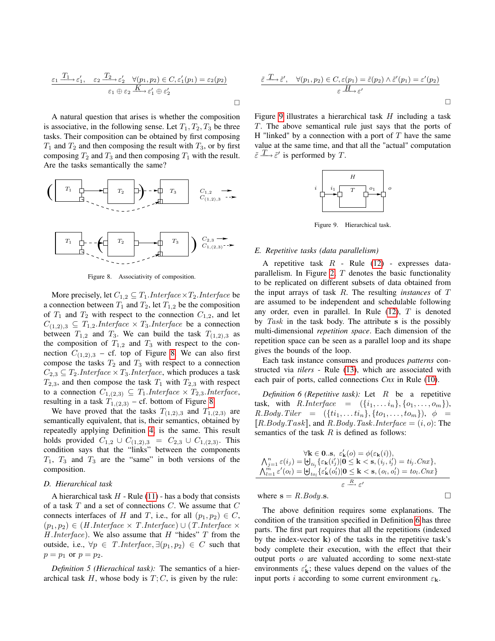$$
\varepsilon_1 \xrightarrow{T_1} \varepsilon_1', \quad \varepsilon_2 \xrightarrow{T_2} \varepsilon_2' \quad \forall (p_1, p_2) \in C, \varepsilon_1'(p_1) = \varepsilon_2(p_2)
$$

$$
\varepsilon_1 \oplus \varepsilon_2 \xrightarrow{K} \varepsilon_1' \oplus \varepsilon_2'
$$

A natural question that arises is whether the composition is associative, in the following sense. Let  $T_1, T_2, T_3$  be three tasks. Their composition can be obtained by first composing  $T_1$  and  $T_2$  and then composing the result with  $T_3$ , or by first composing  $T_2$  and  $T_3$  and then composing  $T_1$  with the result. Are the tasks semantically the same?



Figure 8. Associativity of composition.

More precisely, let  $C_{1,2} \subseteq T_1$ . *Interface*  $\times T_2$ . *Interface* be a connection between  $T_1$  and  $T_2$ , let  $T_{1,2}$  be the composition of  $T_1$  and  $T_2$  with respect to the connection  $C_{1,2}$ , and let  $C_{(1,2),3} \subseteq T_{1,2}.$ *Interface* ×  $T_3.$ *Interface* be a connection between  $T_{1,2}$  and  $T_3$ . We can build the task  $T_{(1,2),3}$  as the composition of  $T_{1,2}$  and  $T_3$  with respect to the connection  $C_{(1,2),3}$  – cf. top of Figure 8. We can also first compose the tasks  $T_2$  and  $T_3$  with respect to a connection  $C_{2,3} \subseteq T_2$ .*Interface* ×  $T_3$ .*Interface*, which produces a task  $T_{2,3}$ , and then compose the task  $T_1$  with  $T_{2,3}$  with respect to a connection  $C_{1,(2,3)} \subseteq T_1$ . Interface  $\times T_{2,3}$ . Interface, resulting in a task  $T_{1,(2,3)}$  – cf. bottom of Figure 8.

We have proved that the tasks  $T_{(1,2),3}$  and  $T_{1,(2,3)}$  are semantically equivalent, that is, their semantics, obtained by repeatedly applying Definition 4, is the same. This result holds provided  $C_{1,2} \cup C_{(1,2),3} = C_{2,3} \cup C_{1,(2,3)}$ . This condition says that the "links" between the components  $T_1$ ,  $T_3$  and  $T_3$  are the "same" in both versions of the composition.

#### *D. Hierarchical task*

A hierarchical task  $H$  - Rule (11) - has a body that consists of a task  $T$  and a set of connections  $C$ . We assume that  $C$ connects interfaces of H and T, i.e., for all  $(p_1, p_2) \in C$ ,  $(p_1, p_2) \in (H. Interface \times T. Interface) \cup (T. Interface \times T.$  $H. Interface$ ). We also assume that  $H$  "hides"  $T$  from the outside, i.e.,  $\forall p \in T.$ *Interface*,  $\exists (p_1, p_2) \in C$  such that  $p = p_1$  or  $p = p_2$ .

*Definition 5 (Hierachical task):* The semantics of a hierarchical task  $H$ , whose body is  $T$ ;  $C$ , is given by the rule:

$$
\frac{\widetilde{\varepsilon} \xrightarrow{T} \widetilde{\varepsilon}', \quad \forall (p_1, p_2) \in C, \varepsilon(p_1) = \widetilde{\varepsilon}(p_2) \wedge \widetilde{\varepsilon}'(p_1) = \varepsilon'(p_2)}{\varepsilon \xrightarrow{H} \varepsilon'}
$$

Figure 9 illustrates a hierarchical task  $H$  including a task T. The above semantical rule just says that the ports of H "linked" by a connection with a port of  $T$  have the same value at the same time, and that all the "actual" computation  $\tilde{\varepsilon} \xrightarrow{T} \tilde{\varepsilon}'$  is performed by T.



Figure 9. Hierarchical task.

#### *E. Repetitive tasks (data parallelism)*

A repetitive task  $R$  - Rule (12) - expresses dataparallelism. In Figure 2,  $T$  denotes the basic functionality to be replicated on different subsets of data obtained from the input arrays of task R. The resulting *instances* of T are assumed to be independent and schedulable following any order, even in parallel. In Rule  $(12)$ , T is denoted by  $Task$  in the task body. The attribute s is the possibly multi-dimensional *repetition space*. Each dimension of the repetition space can be seen as a parallel loop and its shape gives the bounds of the loop.

Each task instance consumes and produces *patterns* constructed via *tilers* - Rule (13), which are associated with each pair of ports, called connections *Cnx* in Rule (10).

*Definition 6 (Repetitive task):* Let R be a repetitive task, with  $R.$  Interface  $= (\{i_1, \ldots i_n\}, \{o_1, \ldots, o_m\}),$  $R.Body. Tiler = (\{ti_1, \ldots, ti_n\}, \{to_1, \ldots, to_m\}), \phi =$  $[R.Body.Task]$ , and  $R.Body.Task.$  Interface  $=(i, o)$ : The semantics of the task  $R$  is defined as follows:

$$
\forall \mathbf{k} \in \mathbf{0}.\mathbf{s}, \ \varepsilon'_{\mathbf{k}}(o) = \phi(\varepsilon_{\mathbf{k}}(i)),
$$
\n
$$
\Lambda_{j=1}^{n} \varepsilon(i_j) = \biguplus_{t_{ij}} \{\varepsilon_{\mathbf{k}}(i'_j)|\mathbf{0} \leq \mathbf{k} < \mathbf{s}, (i_j, i'_j) = ti_j.Cnx\},
$$
\n
$$
\Lambda_{l=1}^{m} \varepsilon'(o_l) = \biguplus_{t_{o_l}} \{\varepsilon'_{\mathbf{k}}(o'_l)|\mathbf{0} \leq \mathbf{k} < \mathbf{s}, (o_l, o'_l) = to_l.Cnx\}
$$
\n
$$
\varepsilon \xrightarrow{R} \varepsilon'
$$

where  $\mathbf{s} = R.Body.\mathbf{s}$ .

The above definition requires some explanations. The condition of the transition specified in Definition 6 has three parts. The first part requires that all the repetitions (indexed by the index-vector  $k$ ) of the tasks in the repetitive task's body complete their execution, with the effect that their output ports o are valuated according to some next-state environments  $\varepsilon'_{\mathbf{k}}$ ; these values depend on the values of the input ports i according to some current environment  $\varepsilon_{\mathbf{k}}$ .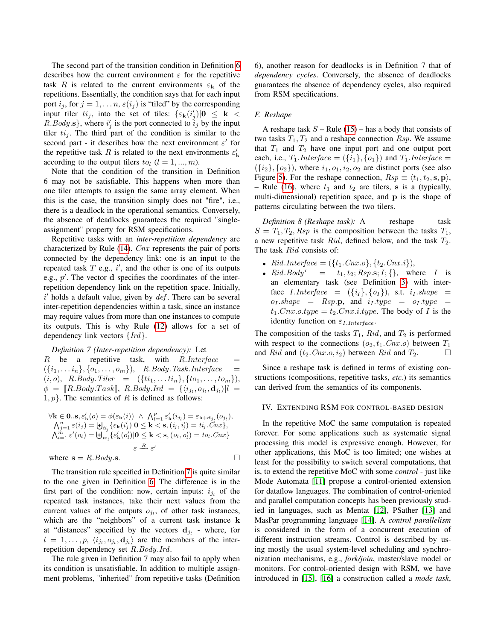The second part of the transition condition in Definition 6 describes how the current environment  $\varepsilon$  for the repetitive task R is related to the current environments  $\varepsilon_{\bf k}$  of the repetitions. Essentially, the condition says that for each input port  $i_j$ , for  $j = 1, \ldots n$ ,  $\varepsilon(i_j)$  is "tiled" by the corresponding input tiler  $t i_j$ , into the set of tiles:  $\{\varepsilon_k(i'_j)|0 \leq k \leq$  $R.Body.s$ , where  $i'_j$  is the port connected to  $i_j$  by the input tiler  $t_{ij}$ . The third part of the condition is similar to the second part - it describes how the next environment  $\varepsilon'$  for the repetitive task R is related to the next environments  $\varepsilon'_{\mathbf{k}}$ according to the output tilers  $to_l$   $(l = 1, ..., m)$ .

Note that the condition of the transition in Definition 6 may not be satisfiable. This happens when more than one tiler attempts to assign the same array element. When this is the case, the transition simply does not "fire", i.e., there is a deadlock in the operational semantics. Conversely, the absence of deadlocks guarantees the required "singleassignment" property for RSM specifications.

Repetitive tasks with an *inter-repetition dependency* are characterized by Rule  $(14)$ . *Cnx* represents the pair of ports connected by the dependency link: one is an input to the repeated task  $T$  e.g.,  $i'$ , and the other is one of its outputs e.g.,  $p'$ . The vector d specifies the coordinates of the interrepetition dependency link on the repetition space. Initially,  $i'$  holds a default value, given by  $def$ . There can be several inter-repetition dependencies within a task, since an instance may require values from more than one instances to compute its outputs. This is why Rule (12) allows for a set of dependency link vectors  $\{Ird\}$ .

#### *Definition 7 (Inter-repetition dependency):* Let

 $R$  be a repetitive task, with  $R.$  Interface  $=$  $({i_1, \ldots i_n}, {o_1, \ldots, o_m})$ , R.Body.Task.Interface =  $(i, o), R. Body. Tiler = ({\{t_i_1, \ldots, t_i_n\}, \{to_1, \ldots, to_m\}}),$  $\phi = [\![R.Body.Task]\!], \; R.Body. Ird = \{\langle i_{j_l}, o_{j_l}, \mathbf{d}_{j_l}\rangle | l =$  $1, p$ . The semantics of R is defined as follows:

$$
\forall \mathbf{k} \in \mathbf{0}.\mathbf{s}, \varepsilon'_{\mathbf{k}}(o) = \phi(\varepsilon_{\mathbf{k}}(i)) \land \bigwedge_{l=1}^{p} \varepsilon'_{\mathbf{k}}(i_{j_{l}}) = \varepsilon_{\mathbf{k}+\mathbf{d}_{j_{l}}}(o_{j_{l}}),
$$
  
\n
$$
\bigwedge_{j=1}^{n} \varepsilon(i_{j}) = \biguplus_{t_{j_{j}}} \{\varepsilon_{\mathbf{k}}(i'_{j}) | \mathbf{0} \leq \mathbf{k} < \mathbf{s}, (i_{j}, i'_{j}) = ti_{j}.Cnx\},
$$
  
\n
$$
\bigwedge_{l=1}^{m} \varepsilon'(o_{l}) = \biguplus_{t o_{l}} \{\varepsilon'_{\mathbf{k}}(o'_{l}) | \mathbf{0} \leq \mathbf{k} < \mathbf{s}, (o_{l}, o'_{l}) = to_{l}.Cnx\}
$$
  
\n
$$
\varepsilon \xrightarrow{R} \varepsilon'
$$
  
\nwhere  $\mathbf{s} = R.Body.\mathbf{s}$ .

The transition rule specified in Definition 7 is quite similar to the one given in Definition 6. The difference is in the first part of the condition: now, certain inputs:  $i_{j_l}$  of the repeated task instances, take their next values from the current values of the outputs  $o_{j_l}$ , of other task instances, which are the "neighbors" of a current task instance k at "distances" specified by the vectors  $\mathbf{d}_{j_l}$  - where, for  $l = 1, \ldots, p, \langle i_{j_l}, o_{j_l}, \mathbf{d}_{j_l} \rangle$  are the members of the inter-

The rule given in Definition 7 may also fail to apply when its condition is unsatisfiable. In addition to multiple assignment problems, "inherited" from repetitive tasks (Definition

repetition dependency set R.Body.Ird.

6), another reason for deadlocks is in Definition 7 that of *dependency cycles*. Conversely, the absence of deadlocks guarantees the absence of dependency cycles, also required from RSM specifications.

#### *F. Reshape*

A reshape task  $S - \text{Rule} (15) - \text{has a body that consists of}$ two tasks  $T_1, T_2$  and a reshape connection  $Rsp$ . We assume that  $T_1$  and  $T_2$  have one input port and one output port each, i.e.,  $T_1.Interface = (\{i_1\}, \{o_1\})$  and  $T_1.Interface =$  $({i_2}, {o_2})$ , where  $i_1, o_1, i_2, o_2$  are distinct ports (see also Figure 5). For the reshape connection,  $Rsp \equiv \langle t_1, t_2, s, p \rangle$ , – Rule (16), where  $t_1$  and  $t_2$  are tilers, s is a (typically, multi-dimensional) repetition space, and p is the shape of patterns circulating between the two tilers.

*Definition 8 (Reshape task):* A reshape task  $S = T_1, T_2, Rsp$  is the composition between the tasks  $T_1$ , a new repetitive task  $Rid$ , defined below, and the task  $T_2$ . The task Rid consists of:

- Rid.Interface =  $({t_1.Cnx.o}, {t_2.Cnx.i}),$
- $Rid. Body^r = t_1, t_2; Rsp.s; I; \{\}, where I is$ an elementary task (see Definition 3) with interface I.Interface  $= (\{i_l\}, \{o_l\})$ , s.t.  $i_l.shape =$  $o_I.shape = Rsp.p$ , and  $i_I.type = o_I.type = o$  $t_1.Cnx.o.type = t_2.Cnx.i.type.$  The body of I is the identity function on  $\varepsilon_{I.Interface}$ .

The composition of the tasks  $T_1$ ,  $Rid$ , and  $T_2$  is performed with respect to the connections  $(o_2, t_1, Cnx.o)$  between  $T_1$ and Rid and  $(t_2.Cnx.o, i_2)$  between Rid and  $T_2$ .

Since a reshape task is defined in terms of existing constructions (compositions, repetitive tasks, *etc.*) its semantics can derived from the semantics of its components.

#### IV. EXTENDING RSM FOR CONTROL-BASED DESIGN

In the repetitive MoC the same computation is repeated forever. For some applications such as systematic signal processing this model is expressive enough. However, for other applications, this MoC is too limited; one wishes at least for the possibility to switch several computations, that is, to extend the repetitive MoC with some *control* - just like Mode Automata [11] propose a control-oriented extension for dataflow languages. The combination of control-oriented and parallel computation concepts has been previously studied in languages, such as Mentat [12], PSather [13] and MasPar programming language [14]. A *control parallelism* is considered in the form of a concurrent execution of different instruction streams. Control is described by using mostly the usual system-level scheduling and synchronization mechanisms, e.g., *fork/join*, master/slave model or monitors. For control-oriented design with RSM, we have introduced in [15], [16] a construction called a *mode task*,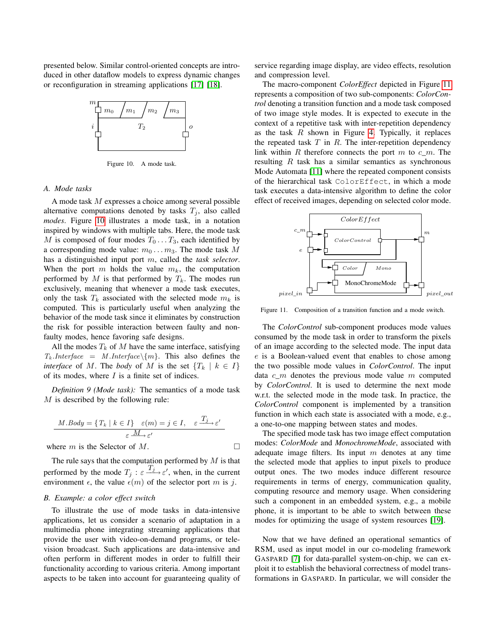presented below. Similar control-oriented concepts are introduced in other dataflow models to express dynamic changes or reconfiguration in streaming applications [17] [18].



Figure 10. A mode task.

#### *A. Mode tasks*

A mode task M expresses a choice among several possible alternative computations denoted by tasks  $T_j$ , also called *modes*. Figure 10 illustrates a mode task, in a notation inspired by windows with multiple tabs. Here, the mode task M is composed of four modes  $T_0 \dots T_3$ , each identified by a corresponding mode value:  $m_0 \dots m_3$ . The mode task M has a distinguished input port m, called the *task selector*. When the port  $m$  holds the value  $m_k$ , the computation performed by  $M$  is that performed by  $T_k$ . The modes run exclusively, meaning that whenever a mode task executes, only the task  $T_k$  associated with the selected mode  $m_k$  is computed. This is particularly useful when analyzing the behavior of the mode task since it eliminates by construction the risk for possible interaction between faulty and nonfaulty modes, hence favoring safe designs.

All the modes  $T_k$  of M have the same interface, satisfying  $T_k$ .*Interface* = *M*.*Interface*  $\{m\}$ . This also defines the *interface* of M. The *body* of M is the set  ${T_k | k \in I}$ of its modes, where  $I$  is a finite set of indices.

*Definition 9 (Mode task):* The semantics of a mode task  $M$  is described by the following rule:

$$
\underline{M.Body} = \{ T_k \mid k \in I \} \quad \varepsilon(m) = j \in I, \quad \varepsilon \xrightarrow{T_j} \varepsilon'
$$
\n
$$
\varepsilon \xrightarrow{\underline{M}} \varepsilon'
$$

where m is the Selector of M.

$$
\mathcal{L}^{\mathcal{L}}(\mathcal{L}^{\mathcal{L}})
$$

The rule says that the computation performed by  $M$  is that performed by the mode  $T_j$ :  $\varepsilon \frac{T_j}{j}$  when, in the current environment  $\epsilon$ , the value  $\epsilon(m)$  of the selector port m is j.

#### *B. Example: a color effect switch*

To illustrate the use of mode tasks in data-intensive applications, let us consider a scenario of adaptation in a multimedia phone integrating streaming applications that provide the user with video-on-demand programs, or television broadcast. Such applications are data-intensive and often perform in different modes in order to fulfill their functionality according to various criteria. Among important aspects to be taken into account for guaranteeing quality of service regarding image display, are video effects, resolution and compression level.

The macro-component *ColorEffect* depicted in Figure 11 represents a composition of two sub-components: *ColorControl* denoting a transition function and a mode task composed of two image style modes. It is expected to execute in the context of a repetitive task with inter-repetition dependency as the task  $R$  shown in Figure 4. Typically, it replaces the repeated task  $T$  in  $R$ . The inter-repetition dependency link within R therefore connects the port  $m$  to  $c_{m}$ . The resulting R task has a similar semantics as synchronous Mode Automata [11] where the repeated component consists of the hierarchical task ColorEffect, in which a mode task executes a data-intensive algorithm to define the color effect of received images, depending on selected color mode.



Figure 11. Composition of a transition function and a mode switch.

The *ColorControl* sub-component produces mode values consumed by the mode task in order to transform the pixels of an image according to the selected mode. The input data e is a Boolean-valued event that enables to chose among the two possible mode values in *ColorControl*. The input data  $c$  m denotes the previous mode value m computed by *ColorControl*. It is used to determine the next mode w.r.t. the selected mode in the mode task. In practice, the *ColorControl* component is implemented by a transition function in which each state is associated with a mode, e.g., a one-to-one mapping between states and modes.

The specified mode task has two image effect computation modes: *ColorMode* and *MonochromeMode*, associated with adequate image filters. Its input  $m$  denotes at any time the selected mode that applies to input pixels to produce output ones. The two modes induce different resource requirements in terms of energy, communication quality, computing resource and memory usage. When considering such a component in an embedded system, e.g., a mobile phone, it is important to be able to switch between these modes for optimizing the usage of system resources [19].

Now that we have defined an operational semantics of RSM, used as input model in our co-modeling framework GASPARD [7] for data-parallel system-on-chip, we can exploit it to establish the behavioral correctness of model transformations in GASPARD. In particular, we will consider the